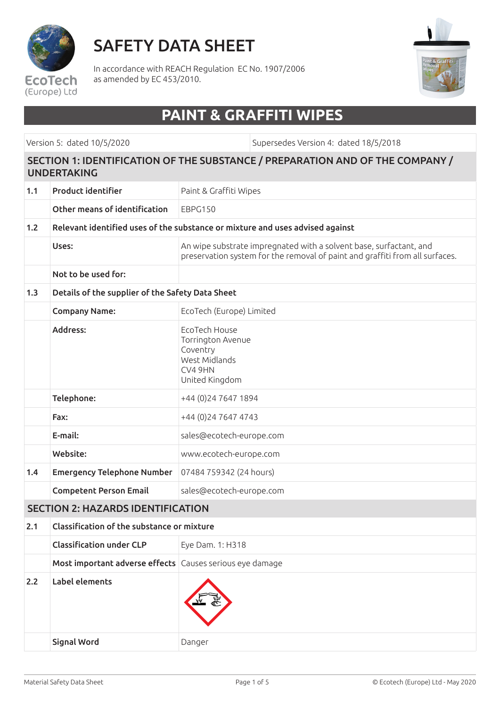

# SAFETY DATA SHEET

In accordance with REACH Regulation EC No. 1907/2006 as amended by EC 453/2010.



## **PAINT & GRAFFITI WIPES**

Version 5: dated 10/5/2020 Supersedes Version 4: dated 18/5/2018

#### SECTION 1: IDENTIFICATION OF THE SUBSTANCE / PREPARATION AND OF THE COMPANY / UNDERTAKING

| 1.1                                      | <b>Product identifier</b>                                                     | Paint & Graffiti Wipes                                                                                                                             |  |  |
|------------------------------------------|-------------------------------------------------------------------------------|----------------------------------------------------------------------------------------------------------------------------------------------------|--|--|
|                                          | Other means of identification                                                 | EBPG150                                                                                                                                            |  |  |
| 1.2                                      | Relevant identified uses of the substance or mixture and uses advised against |                                                                                                                                                    |  |  |
|                                          | Uses:                                                                         | An wipe substrate impregnated with a solvent base, surfactant, and<br>preservation system for the removal of paint and graffiti from all surfaces. |  |  |
|                                          | Not to be used for:                                                           |                                                                                                                                                    |  |  |
| 1.3                                      | Details of the supplier of the Safety Data Sheet                              |                                                                                                                                                    |  |  |
|                                          | <b>Company Name:</b>                                                          | EcoTech (Europe) Limited                                                                                                                           |  |  |
|                                          | Address:                                                                      | EcoTech House<br>Torrington Avenue<br>Coventry<br>West Midlands<br>CV4 9HN<br>United Kingdom                                                       |  |  |
|                                          | Telephone:                                                                    | +44 (0) 24 7647 1894                                                                                                                               |  |  |
|                                          | Fax:                                                                          | +44 (0) 24 7647 4743                                                                                                                               |  |  |
|                                          | E-mail:                                                                       | sales@ecotech-europe.com                                                                                                                           |  |  |
|                                          | Website:                                                                      | www.ecotech-europe.com                                                                                                                             |  |  |
| 1.4                                      | <b>Emergency Telephone Number</b>                                             | 07484 759342 (24 hours)                                                                                                                            |  |  |
|                                          | <b>Competent Person Email</b>                                                 | sales@ecotech-europe.com                                                                                                                           |  |  |
| <b>SECTION 2: HAZARDS IDENTIFICATION</b> |                                                                               |                                                                                                                                                    |  |  |
| 2.1                                      | Classification of the substance or mixture                                    |                                                                                                                                                    |  |  |
|                                          | <b>Classification under CLP</b>                                               | Eye Dam. 1: H318                                                                                                                                   |  |  |
|                                          | Most important adverse effects Causes serious eye damage                      |                                                                                                                                                    |  |  |
| 2.2                                      | Label elements                                                                |                                                                                                                                                    |  |  |
|                                          | <b>Signal Word</b>                                                            | Danger                                                                                                                                             |  |  |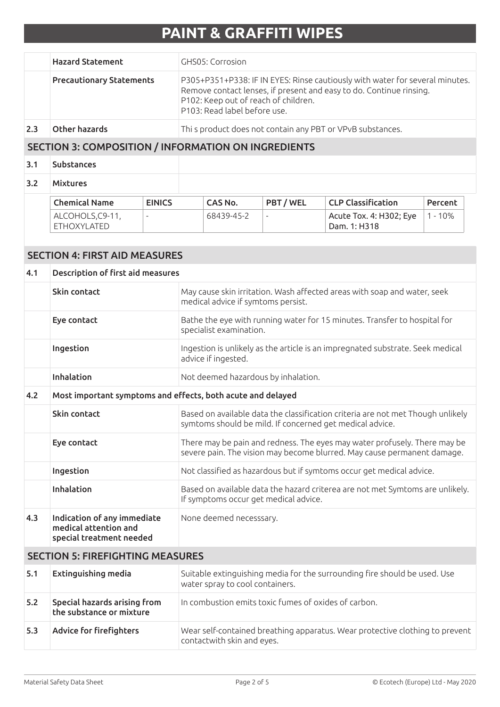|                                         | <b>Hazard Statement</b>                                                          |                          | <b>GHS05: Corrosion</b>                                                                                                                              |                                                                                                                                                                                                                             |                          |                                                            |           |  |
|-----------------------------------------|----------------------------------------------------------------------------------|--------------------------|------------------------------------------------------------------------------------------------------------------------------------------------------|-----------------------------------------------------------------------------------------------------------------------------------------------------------------------------------------------------------------------------|--------------------------|------------------------------------------------------------|-----------|--|
|                                         | <b>Precautionary Statements</b>                                                  |                          |                                                                                                                                                      | P305+P351+P338: IF IN EYES: Rinse cautiously with water for several minutes.<br>Remove contact lenses, if present and easy to do. Continue rinsing.<br>P102: Keep out of reach of children.<br>P103: Read label before use. |                          |                                                            |           |  |
| 2.3                                     | Other hazards                                                                    |                          |                                                                                                                                                      |                                                                                                                                                                                                                             |                          | Thi s product does not contain any PBT or VPvB substances. |           |  |
|                                         |                                                                                  |                          | <b>SECTION 3: COMPOSITION / INFORMATION ON INGREDIENTS</b>                                                                                           |                                                                                                                                                                                                                             |                          |                                                            |           |  |
| 3.1                                     | Substances                                                                       |                          |                                                                                                                                                      |                                                                                                                                                                                                                             |                          |                                                            |           |  |
| 3.2                                     | <b>Mixtures</b>                                                                  |                          |                                                                                                                                                      |                                                                                                                                                                                                                             |                          |                                                            |           |  |
|                                         | <b>Chemical Name</b>                                                             | <b>EINICS</b>            |                                                                                                                                                      | <b>CAS No.</b>                                                                                                                                                                                                              | PBT / WEL                | <b>CLP Classification</b>                                  | Percent   |  |
|                                         | ALCOHOLS, C9-11,<br><b>ETHOXYLATED</b>                                           | $\overline{\phantom{a}}$ |                                                                                                                                                      | 68439-45-2                                                                                                                                                                                                                  | $\overline{\phantom{a}}$ | Acute Tox. 4: H302; Eye<br>Dam. 1: H318                    | $1 - 10%$ |  |
|                                         |                                                                                  |                          |                                                                                                                                                      |                                                                                                                                                                                                                             |                          |                                                            |           |  |
|                                         | <b>SECTION 4: FIRST AID MEASURES</b>                                             |                          |                                                                                                                                                      |                                                                                                                                                                                                                             |                          |                                                            |           |  |
| 4.1                                     | Description of first aid measures                                                |                          |                                                                                                                                                      |                                                                                                                                                                                                                             |                          |                                                            |           |  |
|                                         | Skin contact                                                                     |                          |                                                                                                                                                      | May cause skin irritation. Wash affected areas with soap and water, seek<br>medical advice if symtoms persist.                                                                                                              |                          |                                                            |           |  |
|                                         | Eye contact                                                                      |                          | Bathe the eye with running water for 15 minutes. Transfer to hospital for<br>specialist examination.                                                 |                                                                                                                                                                                                                             |                          |                                                            |           |  |
|                                         | Ingestion                                                                        |                          | Ingestion is unlikely as the article is an impregnated substrate. Seek medical<br>advice if ingested.                                                |                                                                                                                                                                                                                             |                          |                                                            |           |  |
|                                         | Inhalation                                                                       |                          | Not deemed hazardous by inhalation.                                                                                                                  |                                                                                                                                                                                                                             |                          |                                                            |           |  |
| 4.2                                     | Most important symptoms and effects, both acute and delayed                      |                          |                                                                                                                                                      |                                                                                                                                                                                                                             |                          |                                                            |           |  |
|                                         | Skin contact                                                                     |                          | Based on available data the classification criteria are not met Though unlikely<br>symtoms should be mild. If concerned get medical advice.          |                                                                                                                                                                                                                             |                          |                                                            |           |  |
|                                         | Eye contact                                                                      |                          | There may be pain and redness. The eyes may water profusely. There may be<br>severe pain. The vision may become blurred. May cause permanent damage. |                                                                                                                                                                                                                             |                          |                                                            |           |  |
|                                         | Ingestion                                                                        |                          | Not classified as hazardous but if symtoms occur get medical advice.                                                                                 |                                                                                                                                                                                                                             |                          |                                                            |           |  |
|                                         | Inhalation                                                                       |                          | Based on available data the hazard criterea are not met Symtoms are unlikely.<br>If symptoms occur get medical advice.                               |                                                                                                                                                                                                                             |                          |                                                            |           |  |
| 4.3                                     | Indication of any immediate<br>medical attention and<br>special treatment needed |                          |                                                                                                                                                      | None deemed necesssary.                                                                                                                                                                                                     |                          |                                                            |           |  |
| <b>SECTION 5: FIREFIGHTING MEASURES</b> |                                                                                  |                          |                                                                                                                                                      |                                                                                                                                                                                                                             |                          |                                                            |           |  |
| 5.1                                     | <b>Extinguishing media</b>                                                       |                          |                                                                                                                                                      | Suitable extinguishing media for the surrounding fire should be used. Use<br>water spray to cool containers.                                                                                                                |                          |                                                            |           |  |
| 5.2                                     | Special hazards arising from<br>the substance or mixture                         |                          |                                                                                                                                                      | In combustion emits toxic fumes of oxides of carbon.                                                                                                                                                                        |                          |                                                            |           |  |
| 5.3                                     | <b>Advice for firefighters</b>                                                   |                          |                                                                                                                                                      | Wear self-contained breathing apparatus. Wear protective clothing to prevent<br>contactwith skin and eyes.                                                                                                                  |                          |                                                            |           |  |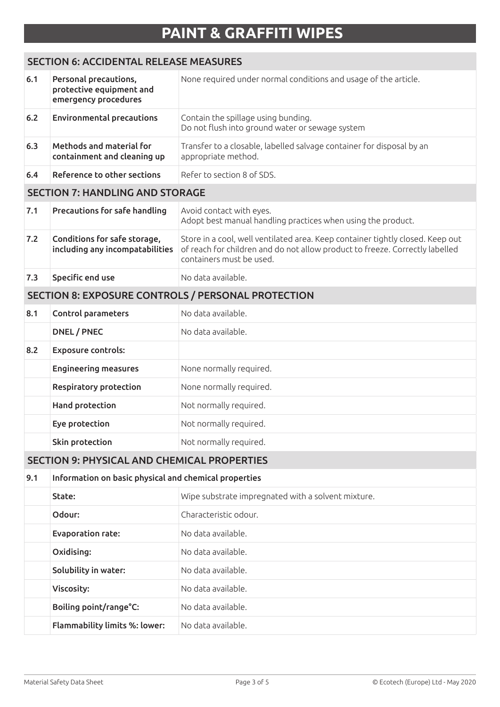### SECTION 6: ACCIDENTAL RELEASE MEASURES

| 6.1                                                | Personal precautions,<br>protective equipment and<br>emergency procedures | None required under normal conditions and usage of the article.                                                                                                                            |  |  |
|----------------------------------------------------|---------------------------------------------------------------------------|--------------------------------------------------------------------------------------------------------------------------------------------------------------------------------------------|--|--|
| $6.2$                                              | <b>Environmental precautions</b>                                          | Contain the spillage using bunding.<br>Do not flush into ground water or sewage system                                                                                                     |  |  |
| 6.3                                                | Methods and material for<br>containment and cleaning up                   | Transfer to a closable, labelled salvage container for disposal by an<br>appropriate method.                                                                                               |  |  |
| 6.4                                                | Reference to other sections                                               | Refer to section 8 of SDS.                                                                                                                                                                 |  |  |
|                                                    | <b>SECTION 7: HANDLING AND STORAGE</b>                                    |                                                                                                                                                                                            |  |  |
| 7.1                                                | Precautions for safe handling                                             | Avoid contact with eyes.<br>Adopt best manual handling practices when using the product.                                                                                                   |  |  |
| 7.2                                                | Conditions for safe storage,<br>including any incompatabilities           | Store in a cool, well ventilated area. Keep container tightly closed. Keep out<br>of reach for children and do not allow product to freeze. Correctly labelled<br>containers must be used. |  |  |
| 7.3                                                | Specific end use                                                          | No data available.                                                                                                                                                                         |  |  |
| SECTION 8: EXPOSURE CONTROLS / PERSONAL PROTECTION |                                                                           |                                                                                                                                                                                            |  |  |
| 8.1                                                | <b>Control parameters</b>                                                 | No data available.                                                                                                                                                                         |  |  |
|                                                    | <b>DNEL / PNEC</b>                                                        | No data available.                                                                                                                                                                         |  |  |
| 8.2                                                | <b>Exposure controls:</b>                                                 |                                                                                                                                                                                            |  |  |
|                                                    | <b>Engineering measures</b>                                               | None normally required.                                                                                                                                                                    |  |  |
|                                                    | <b>Respiratory protection</b>                                             | None normally required.                                                                                                                                                                    |  |  |
|                                                    | Hand protection                                                           | Not normally required.                                                                                                                                                                     |  |  |
|                                                    | Eye protection                                                            | Not normally required.                                                                                                                                                                     |  |  |
|                                                    | Skin protection                                                           | Not normally required.                                                                                                                                                                     |  |  |
| <b>SECTION 9: PHYSICAL AND CHEMICAL PROPERTIES</b> |                                                                           |                                                                                                                                                                                            |  |  |
| 9.1                                                | Information on basic physical and chemical properties                     |                                                                                                                                                                                            |  |  |
|                                                    | State:                                                                    | Wipe substrate impregnated with a solvent mixture.                                                                                                                                         |  |  |
|                                                    | Odour:                                                                    | Characteristic odour.                                                                                                                                                                      |  |  |
|                                                    | <b>Evaporation rate:</b>                                                  | No data available.                                                                                                                                                                         |  |  |
|                                                    | Oxidising:                                                                | No data available.                                                                                                                                                                         |  |  |
|                                                    | Solubility in water:                                                      | No data available.                                                                                                                                                                         |  |  |
|                                                    | Viscosity:                                                                | No data available.                                                                                                                                                                         |  |  |
|                                                    | Boiling point/range°C:                                                    | No data available.                                                                                                                                                                         |  |  |
|                                                    | Flammability limits %: lower:                                             | No data available.                                                                                                                                                                         |  |  |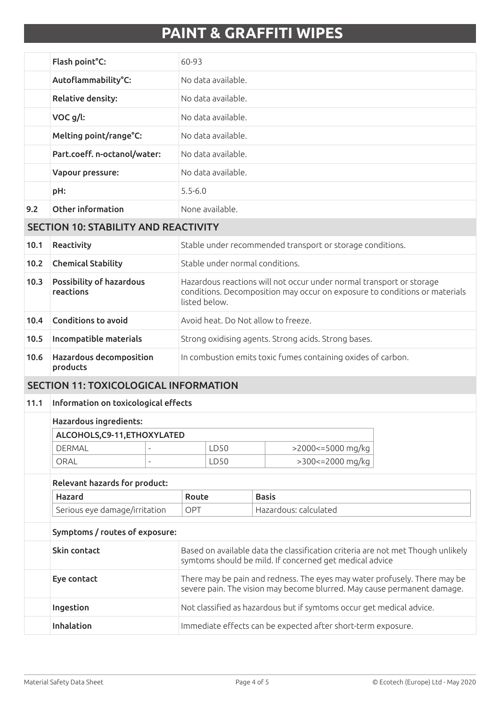|     | Flash point°C:               | 60-93              |
|-----|------------------------------|--------------------|
|     | Autoflammability°C:          | No data available. |
|     | <b>Relative density:</b>     | No data available. |
|     | VOC g/l:                     | No data available. |
|     | Melting point/range°C:       | No data available. |
|     | Part.coeff. n-octanol/water: | No data available. |
|     | Vapour pressure:             | No data available. |
|     | pH:                          | $5.5 - 6.0$        |
| 9.2 | Other information            | None available.    |

### SECTION 10: STABILITY AND REACTIVITY

| 10.1 | Reactivity                                   | Stable under recommended transport or storage conditions.                                                                                                           |
|------|----------------------------------------------|---------------------------------------------------------------------------------------------------------------------------------------------------------------------|
| 10.2 | <b>Chemical Stability</b>                    | Stable under normal conditions.                                                                                                                                     |
| 10.3 | <b>Possibility of hazardous</b><br>reactions | Hazardous reactions will not occur under normal transport or storage<br>conditions. Decomposition may occur on exposure to conditions or materials<br>listed below. |
| 10.4 | Conditions to avoid                          | Avoid heat. Do Not allow to freeze.                                                                                                                                 |
| 10.5 | Incompatible materials                       | Strong oxidising agents. Strong acids. Strong bases.                                                                                                                |
| 10.6 | <b>Hazardous decomposition</b><br>products   | In combustion emits toxic fumes containing oxides of carbon.                                                                                                        |

#### SECTION 11: TOXICOLOGICAL INFORMATION

#### 11.1 Information on toxicological effects

| ALCOHOLS, C9-11, ETHOXYLATED |   |     |                   |
|------------------------------|---|-----|-------------------|
| DERMAL                       | - | D50 | >2000<=5000 mg/kg |
| ORAI                         | - | D50 | >300<=2000 mg/kg  |

### Relevant hazards for product: Hazard Route Basis Serious eye damage/irritation | OPT | Hazardous: calculated Symptoms / routes of exposure: Skin contact Based on available data the classification criteria are not met Though unlikely symtoms should be mild. If concerned get medical advice

| Eye contact | There may be pain and redness. The eyes may water profusely. There may be<br>severe pain. The vision may become blurred. May cause permanent damage. |
|-------------|------------------------------------------------------------------------------------------------------------------------------------------------------|
| Ingestion   | Not classified as hazardous but if symtoms occur get medical advice.                                                                                 |
| Inhalation  | Immediate effects can be expected after short-term exposure.                                                                                         |